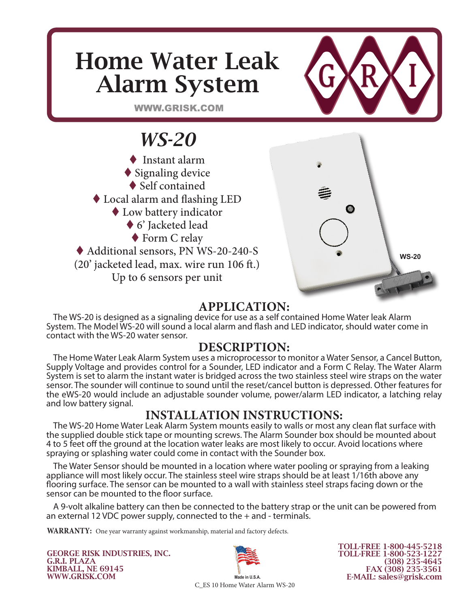# Home Water Leak Alarm System



WWW.GRISK.COM

# *WS-20*

◆ Instant alarm  $\blacklozenge$  Signaling device ◆ Self contained Local alarm and flashing LED Low battery indicator ◆ 6' Jacketed lead ◆ Form C relay Additional sensors, PN WS-20-240-S (20' jacketed lead, max. wire run 106 ft.) Up to 6 sensors per unit



### **APPLICATION:**

The WS-20 is designed as a signaling device for use as a self contained Home Water leak Alarm System. The Model WS-20 will sound a local alarm and flash and LED indicator, should water come in contact with the WS-20 water sensor.

### **DESCRIPTION:**

The Home Water Leak Alarm System uses a microprocessor to monitor a Water Sensor, a Cancel Button, Supply Voltage and provides control for a Sounder, LED indicator and a Form C Relay. The Water Alarm System is set to alarm the instant water is bridged across the two stainless steel wire straps on the water sensor. The sounder will continue to sound until the reset/cancel button is depressed. Other features for the eWS-20 would include an adjustable sounder volume, power/alarm LED indicator, a latching relay and low battery signal.

## **INSTALLATION INSTRUCTIONS:**

The WS-20 Home Water Leak Alarm System mounts easily to walls or most any clean flat surface with the supplied double stick tape or mounting screws. The Alarm Sounder box should be mounted about 4 to 5 feet off the ground at the location water leaks are most likely to occur. Avoid locations where spraying or splashing water could come in contact with the Sounder box.

The Water Sensor should be mounted in a location where water pooling or spraying from a leaking appliance will most likely occur. The stainless steel wire straps should be at least 1/16th above any flooring surface. The sensor can be mounted to a wall with stainless steel straps facing down or the sensor can be mounted to the floor surface.

A 9-volt alkaline battery can then be connected to the battery strap or the unit can be powered from an external 12 VDC power supply, connected to the + and - terminals.

**WARRANTY:** One year warranty against workmanship, material and factory defects.

GEORGE RISK INDUSTRIES, INC. G.R.I. PLAZA KIMBALL, NE 69145 WWW.GRISK.COM



TOLL-FREE 1-800-445-5218 TOLL-FREE 1-800-523-1227 (308) 235-4645 FAX (308) 235-3561 E-MAIL: sales@grisk.com

C\_ES 10 Home Water Alarm WS-20